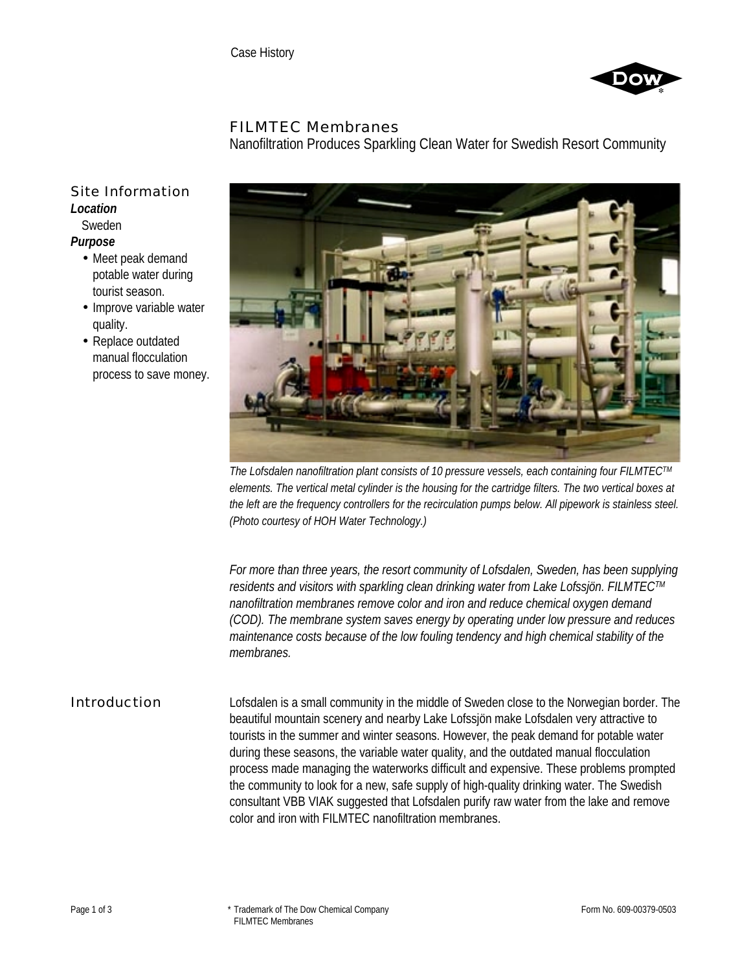

## FILMTEC Membranes

Nanofiltration Produces Sparkling Clean Water for Swedish Resort Community

## Site Information *Location* Sweden

*Purpose*

- Meet peak demand potable water during tourist season.
- Improve variable water quality.
- Replace outdated manual flocculation process to save money.



*The Lofsdalen nanofiltration plant consists of 10 pressure vessels, each containing four FILMTECTM elements. The vertical metal cylinder is the housing for the cartridge filters. The two vertical boxes at the left are the frequency controllers for the recirculation pumps below. All pipework is stainless steel. (Photo courtesy of HOH Water Technology.)*

*For more than three years, the resort community of Lofsdalen, Sweden, has been supplying residents and visitors with sparkling clean drinking water from Lake Lofssjön. FILMTECTM nanofiltration membranes remove color and iron and reduce chemical oxygen demand (COD). The membrane system saves energy by operating under low pressure and reduces maintenance costs because of the low fouling tendency and high chemical stability of the membranes.*

Introduction Lofsdalen is a small community in the middle of Sweden close to the Norwegian border. The beautiful mountain scenery and nearby Lake Lofssjön make Lofsdalen very attractive to tourists in the summer and winter seasons. However, the peak demand for potable water during these seasons, the variable water quality, and the outdated manual flocculation process made managing the waterworks difficult and expensive. These problems prompted the community to look for a new, safe supply of high-quality drinking water. The Swedish consultant VBB VIAK suggested that Lofsdalen purify raw water from the lake and remove color and iron with FILMTEC nanofiltration membranes.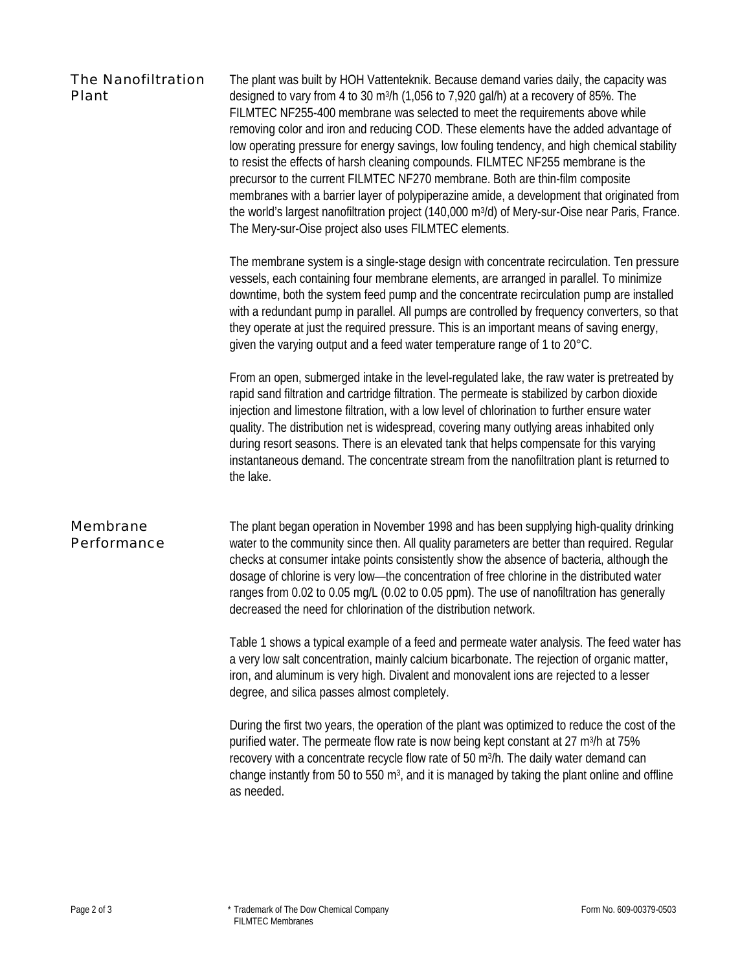| The Nanofiltration<br>Plant | The plant was built by HOH Vattenteknik. Because demand varies daily, the capacity was<br>designed to vary from 4 to 30 m <sup>3</sup> /h (1,056 to 7,920 gal/h) at a recovery of 85%. The<br>FILMTEC NF255-400 membrane was selected to meet the requirements above while<br>removing color and iron and reducing COD. These elements have the added advantage of<br>low operating pressure for energy savings, low fouling tendency, and high chemical stability<br>to resist the effects of harsh cleaning compounds. FILMTEC NF255 membrane is the<br>precursor to the current FILMTEC NF270 membrane. Both are thin-film composite<br>membranes with a barrier layer of polypiperazine amide, a development that originated from<br>the world's largest nanofiltration project (140,000 m <sup>3</sup> /d) of Mery-sur-Oise near Paris, France.<br>The Mery-sur-Oise project also uses FILMTEC elements. |
|-----------------------------|---------------------------------------------------------------------------------------------------------------------------------------------------------------------------------------------------------------------------------------------------------------------------------------------------------------------------------------------------------------------------------------------------------------------------------------------------------------------------------------------------------------------------------------------------------------------------------------------------------------------------------------------------------------------------------------------------------------------------------------------------------------------------------------------------------------------------------------------------------------------------------------------------------------|
|                             | The membrane system is a single-stage design with concentrate recirculation. Ten pressure<br>vessels, each containing four membrane elements, are arranged in parallel. To minimize<br>downtime, both the system feed pump and the concentrate recirculation pump are installed<br>with a redundant pump in parallel. All pumps are controlled by frequency converters, so that<br>they operate at just the required pressure. This is an important means of saving energy,<br>given the varying output and a feed water temperature range of 1 to 20°C.                                                                                                                                                                                                                                                                                                                                                      |
|                             | From an open, submerged intake in the level-regulated lake, the raw water is pretreated by<br>rapid sand filtration and cartridge filtration. The permeate is stabilized by carbon dioxide<br>injection and limestone filtration, with a low level of chlorination to further ensure water<br>quality. The distribution net is widespread, covering many outlying areas inhabited only<br>during resort seasons. There is an elevated tank that helps compensate for this varying<br>instantaneous demand. The concentrate stream from the nanofiltration plant is returned to<br>the lake.                                                                                                                                                                                                                                                                                                                   |
| Membrane<br>Performance     | The plant began operation in November 1998 and has been supplying high-quality drinking<br>water to the community since then. All quality parameters are better than required. Regular<br>checks at consumer intake points consistently show the absence of bacteria, although the<br>dosage of chlorine is very low-the concentration of free chlorine in the distributed water<br>ranges from 0.02 to 0.05 mg/L (0.02 to 0.05 ppm). The use of nanofiltration has generally<br>decreased the need for chlorination of the distribution network.                                                                                                                                                                                                                                                                                                                                                             |
|                             | Table 1 shows a typical example of a feed and permeate water analysis. The feed water has<br>a very low salt concentration, mainly calcium bicarbonate. The rejection of organic matter,<br>iron, and aluminum is very high. Divalent and monovalent ions are rejected to a lesser<br>degree, and silica passes almost completely.                                                                                                                                                                                                                                                                                                                                                                                                                                                                                                                                                                            |
|                             | During the first two years, the operation of the plant was optimized to reduce the cost of the<br>purified water. The permeate flow rate is now being kept constant at 27 m <sup>3</sup> /h at 75%<br>recovery with a concentrate recycle flow rate of 50 m <sup>3</sup> /h. The daily water demand can<br>change instantly from 50 to 550 m <sup>3</sup> , and it is managed by taking the plant online and offline<br>as needed.                                                                                                                                                                                                                                                                                                                                                                                                                                                                            |